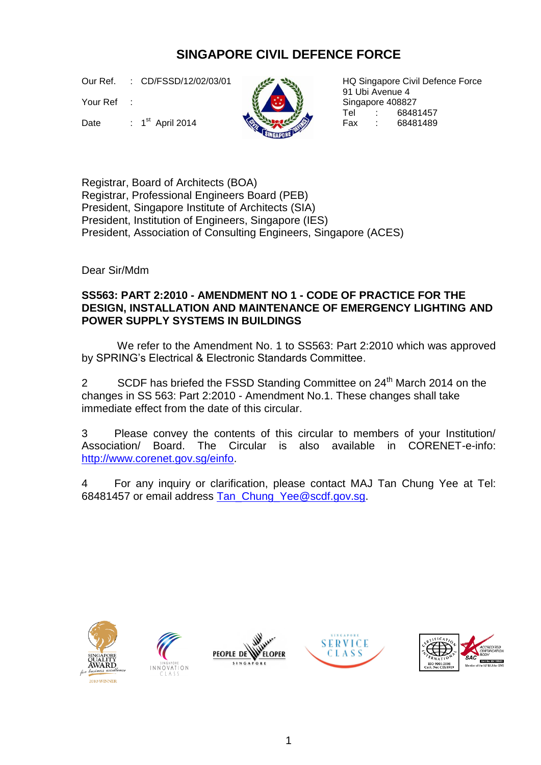## **SINGAPORE CIVIL DEFENCE FORCE**

Our Ref. : CD/FSSD/12/02/03/01

Your Ref :

Date : 1<sup>st</sup> April 2014 **Contract of the Second Avenue Prince Contract 2014** Fax : 68481489



HQ Singapore Civil Defence Force 91 Ubi Avenue 4 Singapore 408827<br>Tel : 6848 t 68481457<br>t 68481489

Registrar, Board of Architects (BOA) Registrar, Professional Engineers Board (PEB) President, Singapore Institute of Architects (SIA) President, Institution of Engineers, Singapore (IES) President, Association of Consulting Engineers, Singapore (ACES)

Dear Sir/Mdm

## **SS563: PART 2:2010 - AMENDMENT NO 1 - CODE OF PRACTICE FOR THE DESIGN, INSTALLATION AND MAINTENANCE OF EMERGENCY LIGHTING AND POWER SUPPLY SYSTEMS IN BUILDINGS**

We refer to the Amendment No. 1 to SS563: Part 2:2010 which was approved by SPRING's Electrical & Electronic Standards Committee.

2 SCDF has briefed the FSSD Standing Committee on 24<sup>th</sup> March 2014 on the changes in SS 563: Part 2:2010 - Amendment No.1. These changes shall take immediate effect from the date of this circular.

3 Please convey the contents of this circular to members of your Institution/ Association/ Board. The Circular is also available in CORENET-e-info: [http://www.corenet.gov.sg/einfo.](http://www.corenet.gov.sg/einfo)

4 For any inquiry or clarification, please contact MAJ Tan Chung Yee at Tel: 68481457 or email address Tan Chung Yee@scdf.gov.sg.